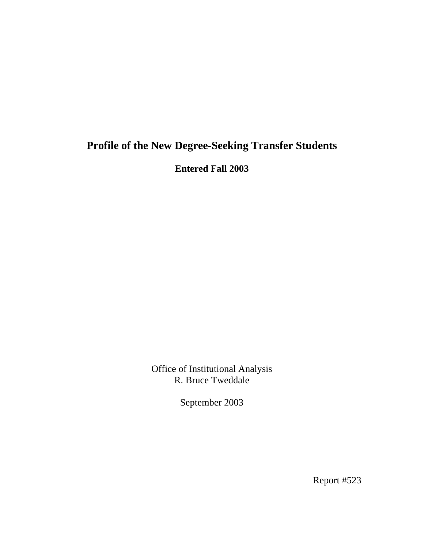## **Profile of the New Degree-Seeking Transfer Students**

**Entered Fall 2003** 

Office of Institutional Analysis R. Bruce Tweddale

September 2003

Report #523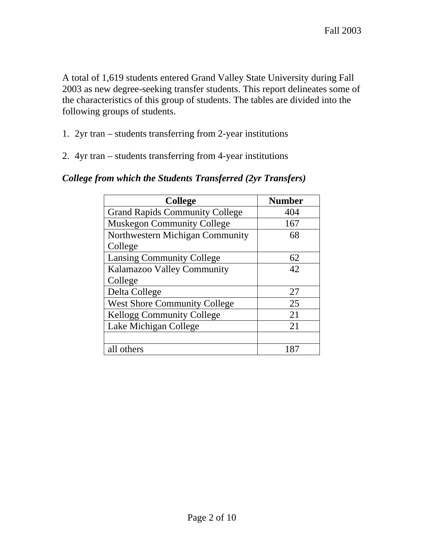A total of 1,619 students entered Grand Valley State University during Fall 2003 as new degree-seeking transfer students. This report delineates some of the characteristics of this group of students. The tables are divided into the following groups of students.

- 1. 2yr tran students transferring from 2-year institutions
- 2. 4yr tran students transferring from 4-year institutions

| <b>College</b>                        | <b>Number</b> |
|---------------------------------------|---------------|
| <b>Grand Rapids Community College</b> | 404           |
| <b>Muskegon Community College</b>     | 167           |
| Northwestern Michigan Community       | 68            |
| College                               |               |
| <b>Lansing Community College</b>      | 62            |
| Kalamazoo Valley Community            | 42            |
| College                               |               |
| Delta College                         | 27            |
| <b>West Shore Community College</b>   | 25            |
| <b>Kellogg Community College</b>      | 21            |
| Lake Michigan College                 | 21            |
|                                       |               |
| all others                            |               |

#### *College from which the Students Transferred (2yr Transfers)*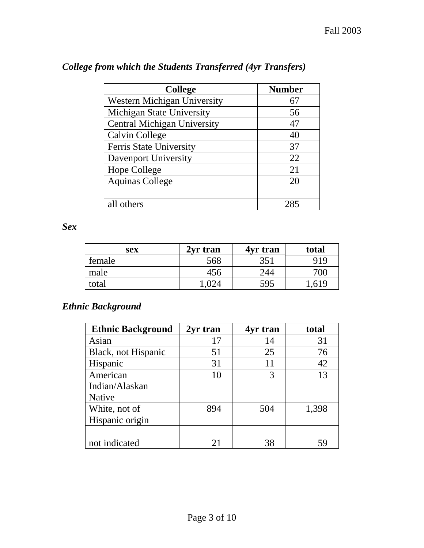| <b>College</b>                     | <b>Number</b> |
|------------------------------------|---------------|
| Western Michigan University        | 67            |
| <b>Michigan State University</b>   | 56            |
| <b>Central Michigan University</b> | 47            |
| Calvin College                     | 40            |
| Ferris State University            | 37            |
| Davenport University               | 22            |
| Hope College                       | 21            |
| <b>Aquinas College</b>             | 20            |
|                                    |               |
| all others                         |               |

## *College from which the Students Transferred (4yr Transfers)*

*Sex* 

| sex    | 2yr tran | 4yr tran | total |
|--------|----------|----------|-------|
| female | 568      | 351      | 919   |
| male   | 456      | 244      | 700   |
| total  | .024     | 595      | 0.619 |

# *Ethnic Background*

| <b>Ethnic Background</b> | 2yr tran | 4yr tran | total |
|--------------------------|----------|----------|-------|
| Asian                    | 17       | 14       | 31    |
| Black, not Hispanic      | 51       | 25       | 76    |
| Hispanic                 | 31       | 11       | 42    |
| American                 | 10       |          | 13    |
| Indian/Alaskan           |          |          |       |
| Native                   |          |          |       |
| White, not of            | 894      | 504      | 1,398 |
| Hispanic origin          |          |          |       |
|                          |          |          |       |
| not indicated            | 21       | 38       | 59    |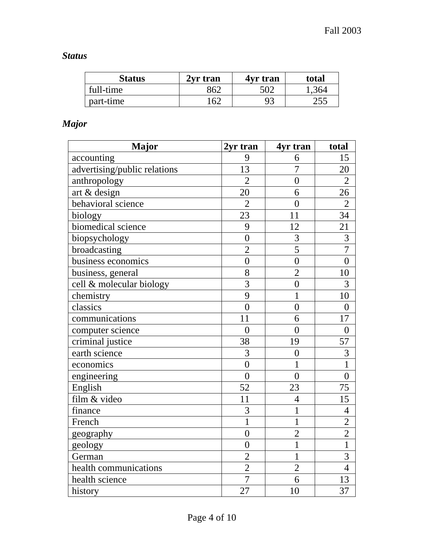## *Status*

| Status    | 2yr tran | 4yr tran | total |
|-----------|----------|----------|-------|
| full-time | 362      | 502      | 1,364 |
| part-time | 162      | 93       | 255   |

## *Major*

| <b>Major</b>                 | 2yr tran         | 4yr tran         | total            |
|------------------------------|------------------|------------------|------------------|
| accounting                   | 9                | 6                | 15               |
| advertising/public relations | 13               | $\overline{7}$   | 20               |
| anthropology                 | $\overline{2}$   | $\overline{0}$   | $\overline{2}$   |
| art & design                 | 20               | 6                | 26               |
| behavioral science           | $\overline{2}$   | $\overline{0}$   | $\overline{2}$   |
| biology                      | 23               | 11               | 34               |
| biomedical science           | 9                | 12               | 21               |
| biopsychology                | $\overline{0}$   | 3                | $\overline{3}$   |
| broadcasting                 | $\overline{2}$   | $\overline{5}$   | $\overline{7}$   |
| business economics           | $\overline{0}$   | $\overline{0}$   | $\overline{0}$   |
| business, general            | 8                | $\overline{2}$   | 10               |
| cell & molecular biology     | $\overline{3}$   | $\overline{0}$   | 3                |
| chemistry                    | 9                | $\mathbf{1}$     | 10               |
| classics                     | $\overline{0}$   | $\overline{0}$   | $\overline{0}$   |
| communications               | 11               | 6                | 17               |
| computer science             | $\boldsymbol{0}$ | $\boldsymbol{0}$ | $\boldsymbol{0}$ |
| criminal justice             | 38               | 19               | 57               |
| earth science                | $\overline{3}$   | $\overline{0}$   | $\overline{3}$   |
| economics                    | $\overline{0}$   | $\mathbf 1$      | $\overline{1}$   |
| engineering                  | $\overline{0}$   | $\overline{0}$   | $\boldsymbol{0}$ |
| English                      | 52               | 23               | 75               |
| film & video                 | 11               | $\overline{4}$   | 15               |
| finance                      | 3                | $\mathbf 1$      | $\overline{4}$   |
| French                       | $\overline{1}$   | $\mathbf{1}$     | $\overline{2}$   |
| geography                    | $\boldsymbol{0}$ | $\overline{2}$   | $\overline{2}$   |
| geology                      | $\overline{0}$   | $\mathbf{1}$     | $\overline{1}$   |
| German                       | $\overline{2}$   | $\overline{1}$   | $\overline{3}$   |
| health communications        | $\overline{2}$   | $\overline{2}$   | $\overline{4}$   |
| health science               | $\overline{7}$   | 6                | 13               |
| history                      | 27               | 10               | 37               |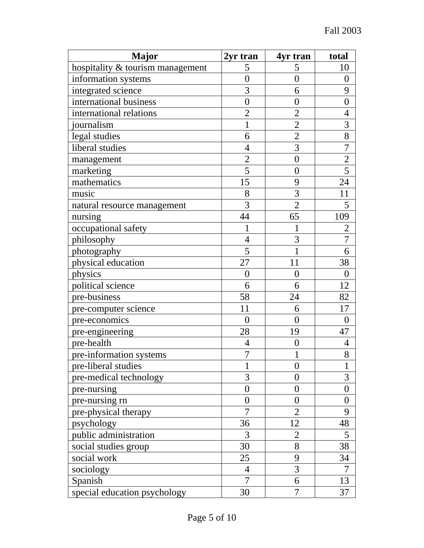| <b>Major</b>                     | 2yr tran         | 4yr tran         | total            |
|----------------------------------|------------------|------------------|------------------|
| hospitality & tourism management | 5                | 5                | 10               |
| information systems              | $\overline{0}$   | $\overline{0}$   | $\boldsymbol{0}$ |
| integrated science               | 3                | 6                | 9                |
| international business           | $\overline{0}$   | $\overline{0}$   | $\overline{0}$   |
| international relations          | $\overline{2}$   | $\overline{2}$   | $\overline{4}$   |
| journalism                       | 1                | $\overline{2}$   | 3                |
| legal studies                    | 6                | $\overline{2}$   | 8                |
| liberal studies                  | $\overline{4}$   | $\overline{3}$   | $\overline{7}$   |
| management                       | $\overline{2}$   | $\overline{0}$   | $\overline{c}$   |
| marketing                        | $\overline{5}$   | $\overline{0}$   | $\overline{5}$   |
| mathematics                      | 15               | 9                | 24               |
| music                            | 8                | 3                | 11               |
| natural resource management      | 3                | $\overline{2}$   | 5                |
| nursing                          | 44               | 65               | 109              |
| occupational safety              | 1                | 1                | $\overline{2}$   |
| philosophy                       | $\overline{4}$   | 3                | $\boldsymbol{7}$ |
| photography                      | 5                | 1                | 6                |
| physical education               | 27               | 11               | 38               |
| physics                          | $\boldsymbol{0}$ | $\overline{0}$   | $\overline{0}$   |
| political science                | 6                | 6                | 12               |
| pre-business                     | 58               | 24               | 82               |
| pre-computer science             | 11               | 6                | 17               |
| pre-economics                    | $\overline{0}$   | $\theta$         | $\theta$         |
| pre-engineering                  | 28               | 19               | 47               |
| pre-health                       | $\overline{4}$   | $\boldsymbol{0}$ | $\overline{4}$   |
| pre-information systems          | 7                |                  | 8                |
| pre-liberal studies              | 1                | $\overline{0}$   | 1                |
| pre-medical technology           | 3                | $\overline{0}$   | 3                |
| pre-nursing                      | $\boldsymbol{0}$ | $\overline{0}$   | $\overline{0}$   |
| pre-nursing rn                   | $\overline{0}$   | 0                | $\overline{0}$   |
| pre-physical therapy             | $\overline{7}$   | $\overline{2}$   | 9                |
| psychology                       | 36               | 12               | 48               |
| public administration            | 3                | $\overline{2}$   | 5                |
| social studies group             | 30               | 8                | 38               |
| social work                      | 25               | 9                | 34               |
| sociology                        | 4                | 3                | 7                |
| Spanish                          | 7                | 6                | 13               |
| special education psychology     | 30               | 7                | 37               |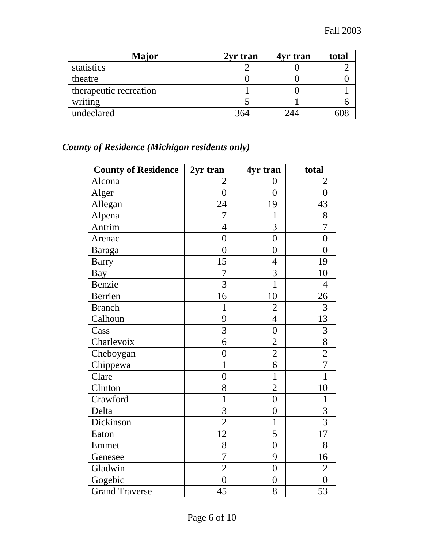| <b>Major</b>           | 2yr tran | 4yr tran | total |
|------------------------|----------|----------|-------|
| statistics             |          |          |       |
| theatre                |          |          |       |
| therapeutic recreation |          |          |       |
| writing                |          |          |       |
| undeclared             | 364      | 244      |       |

# *County of Residence (Michigan residents only)*

| <b>County of Residence</b> | 2yr tran       | 4yr tran         | total          |
|----------------------------|----------------|------------------|----------------|
| Alcona                     | $\overline{2}$ | $\overline{0}$   | $\overline{2}$ |
| Alger                      | $\overline{0}$ | $\overline{0}$   | $\overline{0}$ |
| Allegan                    | 24             | 19               | 43             |
| Alpena                     | $\overline{7}$ | $\mathbf{1}$     | 8              |
| Antrim                     | $\overline{4}$ | 3                | 7              |
| Arenac                     | $\overline{0}$ | $\overline{0}$   | $\overline{0}$ |
| <b>Baraga</b>              | $\overline{0}$ | $\overline{0}$   | $\overline{0}$ |
| <b>Barry</b>               | 15             | $\overline{4}$   | 19             |
| <b>Bay</b>                 | $\overline{7}$ | 3                | 10             |
| Benzie                     | 3              | $\mathbf{1}$     | $\overline{4}$ |
| Berrien                    | 16             | 10               | 26             |
| <b>Branch</b>              | $\mathbf{1}$   | $\overline{2}$   | 3              |
| Calhoun                    | 9              | $\overline{4}$   | 13             |
| Cass                       | 3              | $\overline{0}$   | 3              |
| Charlevoix                 | $\overline{6}$ | $\overline{2}$   | $\overline{8}$ |
| Cheboygan                  | $\overline{0}$ | $\overline{2}$   | $\overline{2}$ |
| Chippewa                   | $\mathbf{1}$   | 6                | $\overline{7}$ |
| Clare                      | $\overline{0}$ | $\mathbf{1}$     | $\mathbf{1}$   |
| Clinton                    | 8              | $\overline{2}$   | 10             |
| Crawford                   | $\mathbf{1}$   | $\overline{0}$   | $\mathbf{1}$   |
| Delta                      | 3              | $\overline{0}$   | 3              |
| Dickinson                  | $\overline{2}$ | $\mathbf{1}$     | $\overline{3}$ |
| Eaton                      | 12             | 5                | 17             |
| Emmet                      | 8              | $\boldsymbol{0}$ | 8              |
| Genesee                    | $\overline{7}$ | 9                | 16             |
| Gladwin                    | $\overline{2}$ | $\overline{0}$   | $\overline{2}$ |
| Gogebic                    | $\overline{0}$ | $\overline{0}$   | $\overline{0}$ |
| <b>Grand Traverse</b>      | 45             | 8                | 53             |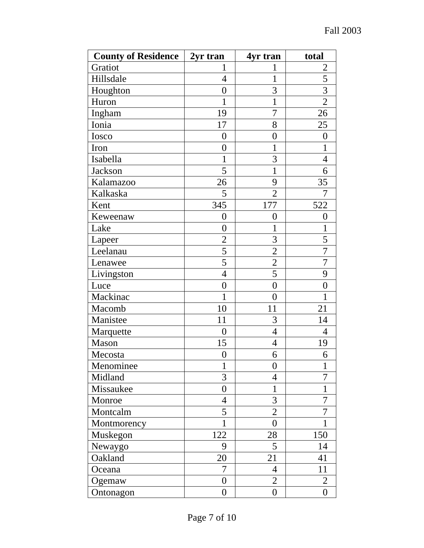| <b>County of Residence</b> | 2yr tran         | 4yr tran         | total          |
|----------------------------|------------------|------------------|----------------|
| Gratiot                    | 1                | 1                | 2              |
| Hillsdale                  | $\overline{4}$   | $\mathbf 1$      | 5              |
| Houghton                   | $\overline{0}$   | 3                | $\overline{3}$ |
| Huron                      | 1                | 1                | $\overline{2}$ |
| Ingham                     | 19               | 7                | 26             |
| Ionia                      | 17               | 8                | 25             |
| Iosco                      | $\overline{0}$   | $\overline{0}$   | 0              |
| Iron                       | $\overline{0}$   | 1                | 1              |
| Isabella                   | 1                | 3                | $\overline{4}$ |
| Jackson                    | 5                | 1                | 6              |
| Kalamazoo                  | 26               | 9                | 35             |
| Kalkaska                   | 5                | $\overline{2}$   | 7              |
| Kent                       | 345              | 177              | 522            |
| Keweenaw                   | $\overline{0}$   | 0                | $\overline{0}$ |
| Lake                       | $\overline{0}$   | 1                | $\mathbf{1}$   |
| Lapeer                     | $\overline{2}$   | 3                | 5              |
| Leelanau                   | 5                | $\overline{2}$   | 7              |
| Lenawee                    | 5                | $\overline{2}$   | 7              |
| Livingston                 | $\overline{4}$   | 5                | 9              |
| Luce                       | $\overline{0}$   | $\overline{0}$   | $\overline{0}$ |
| Mackinac                   | 1                | $\overline{0}$   | 1              |
| Macomb                     | 10               | 11               | 21             |
| Manistee                   | 11               | 3                | 14             |
| Marquette                  | $\overline{0}$   | $\overline{4}$   | $\overline{4}$ |
| Mason                      | 15               | $\overline{4}$   | 19             |
| Mecosta                    | $\overline{0}$   | 6                | 6              |
| Menominee                  | 1                | $\overline{0}$   | 1              |
| Midland                    | 3                | 4                | $\overline{7}$ |
| Missaukee                  | $\overline{0}$   | 1                | 1              |
| Monroe                     | 4                | 3                | 7              |
| Montcalm                   | 5                | $\overline{2}$   | 7              |
| Montmorency                | $\mathbf 1$      | $\overline{0}$   | 1              |
| Muskegon                   | 122              | 28               | 150            |
| Newaygo                    | 9                | 5                | 14             |
| Oakland                    | 20               | 21               | 41             |
| Oceana                     | 7                | $\overline{4}$   | 11             |
| Ogemaw                     | $\overline{0}$   | $\overline{2}$   | $\overline{2}$ |
| Ontonagon                  | $\boldsymbol{0}$ | $\boldsymbol{0}$ | $\overline{0}$ |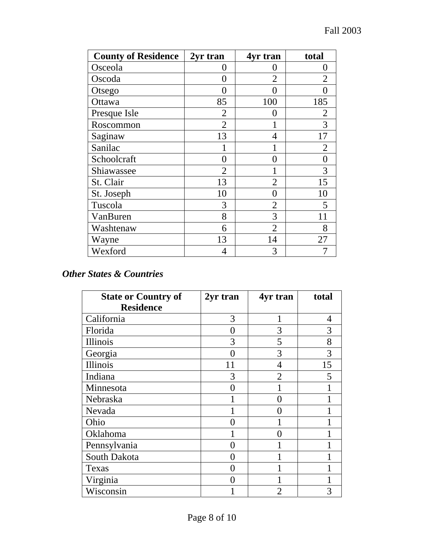| <b>County of Residence</b> | 2yr tran          | 4yr tran       | total          |
|----------------------------|-------------------|----------------|----------------|
| Osceola                    | $\mathbf{\Omega}$ | ( )            |                |
| Oscoda                     | $\left( \right)$  | 2              | 2              |
| Otsego                     | 0                 | 0              |                |
| Ottawa                     | 85                | 100            | 185            |
| Presque Isle               | $\overline{2}$    | 0              | $\overline{2}$ |
| Roscommon                  | $\overline{2}$    |                | 3              |
| Saginaw                    | 13                | 4              | 17             |
| Sanilac                    |                   |                | $\overline{2}$ |
| Schoolcraft                | 0                 | 0              | 0              |
| Shiawassee                 | $\overline{2}$    |                | 3              |
| St. Clair                  | 13                | $\overline{2}$ | 15             |
| St. Joseph                 | 10                | 0              | 10             |
| Tuscola                    | 3                 | 2              | 5              |
| VanBuren                   | 8                 | 3              |                |
| Washtenaw                  | 6                 | 2              | 8              |
| Wayne                      | 13                | 14             | 27             |
| Wexford                    | 4                 | 3              |                |

#### *Other States & Countries*

| <b>State or Country of</b> | 2yr tran | 4yr tran          | total |
|----------------------------|----------|-------------------|-------|
| <b>Residence</b>           |          |                   |       |
| California                 | 3        | 1                 | 4     |
| Florida                    | 0        | 3                 | 3     |
| Illinois                   | 3        | 5                 | 8     |
| Georgia                    |          | 3                 | 3     |
| Illinois                   | 11       | 4                 | 15    |
| Indiana                    | 3        | $\overline{2}$    | 5     |
| Minnesota                  | ( )      |                   |       |
| Nebraska                   |          | $\mathbf{\Omega}$ |       |
| Nevada                     |          |                   |       |
| Ohio                       |          |                   |       |
| Oklahoma                   |          |                   |       |
| Pennsylvania               | ( )      |                   |       |
| South Dakota               |          |                   |       |
| Texas                      |          |                   |       |
| Virginia                   |          |                   |       |
| Wisconsin                  |          | 2                 |       |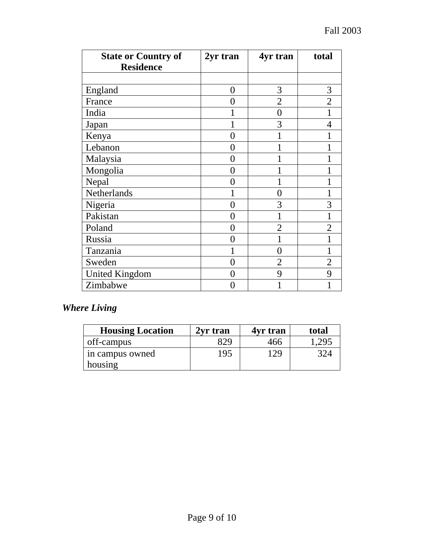| <b>State or Country of</b> | 2yr tran      | 4yr tran       | total          |
|----------------------------|---------------|----------------|----------------|
| <b>Residence</b>           |               |                |                |
|                            |               |                |                |
| England                    | 0             | 3              | 3              |
| France                     | 0             | $\overline{2}$ | $\overline{2}$ |
| India                      |               | $\overline{0}$ |                |
| Japan                      |               | 3              | 4              |
| Kenya                      | 0             |                |                |
| Lebanon                    | 0             |                |                |
| Malaysia                   | 0             |                |                |
| Mongolia                   | 0             |                |                |
| Nepal                      | 0             |                |                |
| Netherlands                |               | 0              |                |
| Nigeria                    | 0             | 3              | 3              |
| Pakistan                   | 0             | 1              |                |
| Poland                     | 0             | $\overline{2}$ | 2              |
| Russia                     | $\mathcal{O}$ |                |                |
| Tanzania                   |               | 0              |                |
| Sweden                     | $\Omega$      | $\overline{2}$ | $\overline{2}$ |
| <b>United Kingdom</b>      | ()            | 9              | 9              |
| Zimbabwe                   |               |                |                |

## *Where Living*

| <b>Housing Location</b> | 2yr tran | 4yr tran | total |
|-------------------------|----------|----------|-------|
| off-campus              | 829      | 466      | 295   |
| in campus owned         | 195      | 129.     | 324   |
| housing                 |          |          |       |